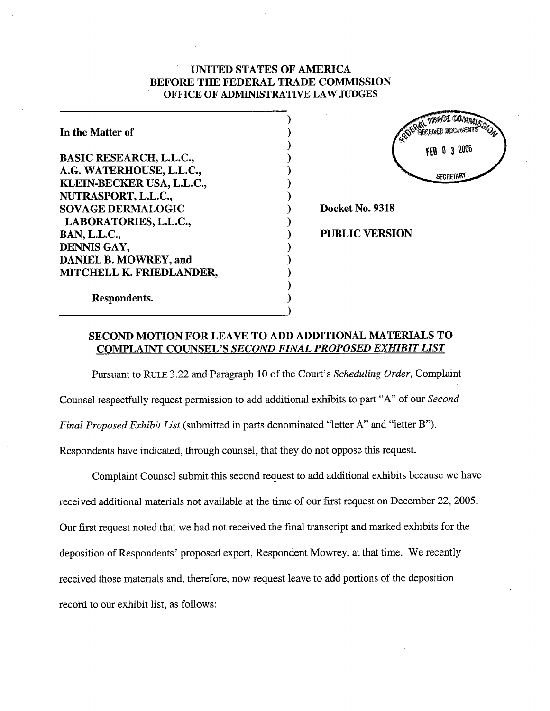# UNTED STATES OF AMERICA BEFORE THE FEDERAL TRADE COMMSSION OFFICE OF ADMINISTRATIVE LAW JUDGES

) ) ) ) ) ) ) ) ) ) ) ) ) ) ) )

| In the Matter of               |
|--------------------------------|
| <b>BASIC RESEARCH, L.L.C.,</b> |
| A.G. WATERHOUSE, L.L.C.,       |
| KLEIN-BECKER USA, L.L.C.,      |
| NUTRASPORT, L.L.C.,            |
| <b>SOVAGE DERMALOGIC</b>       |
| LABORATORIES, L.L.C.,          |
| <b>BAN, L.L.C.,</b>            |
| DENNIS GAY,                    |
| DANIEL B. MOWREY, and          |
| MITCHELL K. FRIEDLANDER,       |
| Respondents.                   |

TRADE COMMANY FOEINED DOCUMENTS FEB 0 3 2006 **SECRETARY** 

Docket No. 9318

PUBLIC VERSION

# SECOND MOTION FOR LEA VE TO ADD ADDITIONAL MATERIALS TO COMPLAINT COUNSEL'S SECOND FINAL PROPOSED EXHIBIT LIST

Pursuant to RULE 3.22 and Paragraph 10 of the Court's Scheduling Order, Complaint Counsel respectfully request permission to add additional exhibits to part "A" of our Second Final Proposed Exhibit List (submitted in parts denominated "letter A" and "letter B"). Respondents have indicated, through counsel, that they do not oppose this request.

Complaint Counsel submit this second request to add additional exhibits because we have received additional materials not available at the time of our first request on December 22, 2005. Our first request noted that we had not received the final transcript and marked exhibits for the deposition of Respondents' proposed expert, Respondent Mowrey, at that time. We recently received those materials and, therefore, now request leave to add portions of the deposition record to our exhibit list, as follows: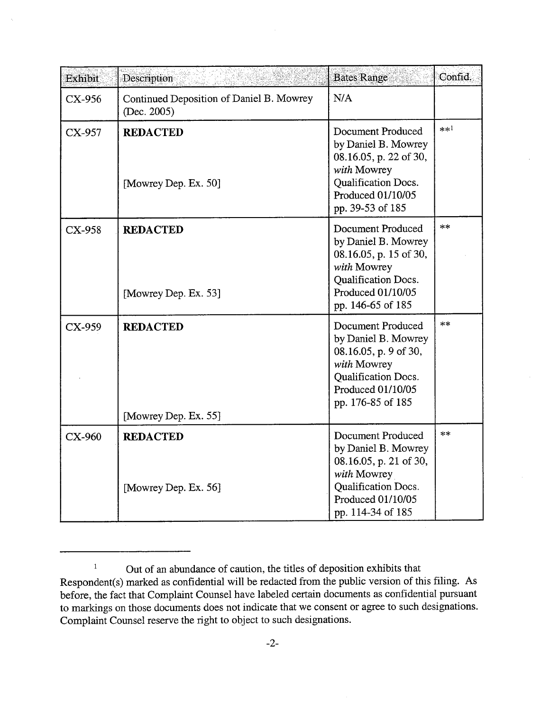| Exhibit  | Description                                             | <b>Bates Range</b>                                                                                                                                 | Confid. |
|----------|---------------------------------------------------------|----------------------------------------------------------------------------------------------------------------------------------------------------|---------|
| CX-956   | Continued Deposition of Daniel B. Mowrey<br>(Dec. 2005) | N/A                                                                                                                                                |         |
| CX-957   | <b>REDACTED</b><br>[Mowrey Dep. Ex. 50]                 | Document Produced<br>by Daniel B. Mowrey<br>08.16.05, p. 22 of 30,<br>with Mowrey<br>Qualification Docs.<br>Produced 01/10/05<br>pp. 39-53 of 185  | $**1$   |
| CX-958   | <b>REDACTED</b><br>[Mowrey Dep. Ex. 53]                 | Document Produced<br>by Daniel B. Mowrey<br>08.16.05, p. 15 of 30,<br>with Mowrey<br>Qualification Docs.<br>Produced 01/10/05<br>pp. 146-65 of 185 | $**$    |
| CX-959   | <b>REDACTED</b><br>[Mowrey Dep. Ex. 55]                 | Document Produced<br>by Daniel B. Mowrey<br>08.16.05, p. 9 of 30,<br>with Mowrey<br>Qualification Docs.<br>Produced 01/10/05<br>pp. 176-85 of 185  | $**$    |
| $CX-960$ | <b>REDACTED</b><br>[Mowrey Dep. Ex. 56]                 | Document Produced<br>by Daniel B. Mowrey<br>08.16.05, p. 21 of 30,<br>with Mowrey<br>Qualification Docs.<br>Produced 01/10/05<br>pp. 114-34 of 185 | $**$    |

 $\mathbf 1$ Out of an abundance of caution, the titles of deposition exhibits that Respondent(s) marked as confidential will be redacted from the public version of this filing. As before, the fact that Complaint Counsel have labeled certain documents as confidential pursuant to markings on those documents does not indicate that we consent or agree to such designations. Complaint Counsel reserve the right to object to such designations.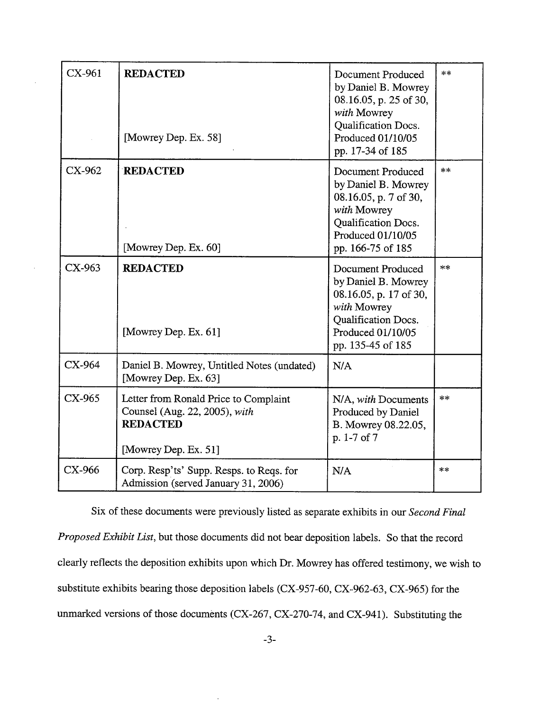| CX-961   | <b>REDACTED</b><br>[Mowrey Dep. Ex. 58]                                                                           | Document Produced<br>by Daniel B. Mowrey<br>08.16.05, p. 25 of 30,<br>with Mowrey<br>Qualification Docs.<br>Produced 01/10/05<br>pp. 17-34 of 185         | $**$ |
|----------|-------------------------------------------------------------------------------------------------------------------|-----------------------------------------------------------------------------------------------------------------------------------------------------------|------|
| CX-962   | <b>REDACTED</b><br>[Mowrey Dep. Ex. 60]                                                                           | Document Produced<br>by Daniel B. Mowrey<br>08.16.05, p. 7 of 30,<br>with Mowrey<br>Qualification Docs.<br>Produced 01/10/05<br>pp. 166-75 of 185         | $**$ |
| $CX-963$ | <b>REDACTED</b><br>[Mowrey Dep. Ex. 61]                                                                           | Document Produced<br>by Daniel B. Mowrey<br>08.16.05, p. 17 of 30,<br>with Mowrey<br><b>Qualification Docs.</b><br>Produced 01/10/05<br>pp. 135-45 of 185 | $**$ |
| CX-964   | Daniel B. Mowrey, Untitled Notes (undated)<br>[Mowrey Dep. Ex. 63]                                                | N/A                                                                                                                                                       |      |
| $CX-965$ | Letter from Ronald Price to Complaint<br>Counsel (Aug. 22, 2005), with<br><b>REDACTED</b><br>[Mowrey Dep. Ex. 51] | N/A, with Documents<br>Produced by Daniel<br>B. Mowrey 08.22.05,<br>p. 1-7 of 7                                                                           | $**$ |
| CX-966   | Corp. Resp'ts' Supp. Resps. to Reqs. for<br>Admission (served January 31, 2006)                                   | N/A                                                                                                                                                       | $**$ |

Six of these documents were previously listed as separate exhibits in our Second Final Proposed Exhibit List, but those documents did not bear deposition labels. So that the record clearly reflects the deposition exhibits upon which Dr. Mowrey has offered testimony, we wish to substitute exhibits bearng those deposition labels (CX-957-60, CX-962-63, CX-965) for the unmarked versions of those documents (CX-267, CX-270-74, and CX-941). Substituting the

 $\ddot{\phantom{a}}$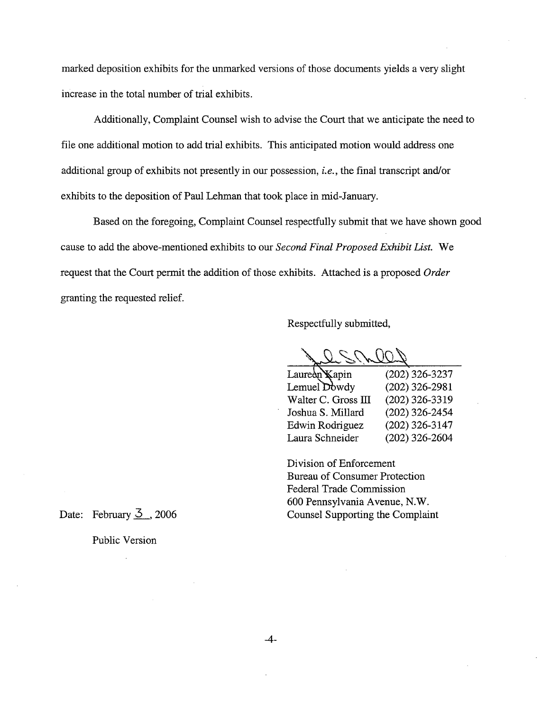marked deposition exhibits for the unmarked versions of those documents yields a very slight increase in the total number of tral exhibits.

Additionally, Complaint Counsel wish to advise the Court that we anticipate the need to file one additional motion to add trial exhibits. This anticipated motion would address one additional group of exhibits not presently in our possession, i.e., the final transcript and/or exhibits to the deposition of Paul Lehman that took place in mid-January.

Based on the foregoing, Complaint Counsel respectfully submit that we have shown good cause to add the above-mentioned exhibits to our Second Final Proposed Exhibit List. We request that the Court permit the addition of those exhibits. Attached is a proposed Order granting the requested relief.

Respectfully submitted,

(202) 326-3237 (202) 326-2981 (202) 326-3319 (202) 326-2454 (202) 326-3147 (202) 326-2604 Laureàn Kapin Lemuel Dowdy Walter C. Gross III Joshua S. Millard Edwin Rodriguez Laura Schneider

Division of Enforcement Bureau of Consumer Protection Federal Trade Commission 600 Pennsylvania Avenue, N.W. Counsel Supporting the Complaint

Date: February  $\overline{3}$ , 2006

Public Version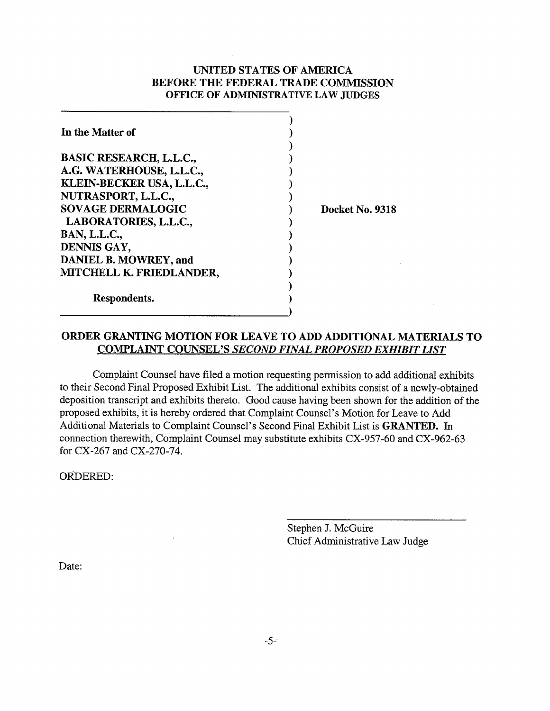# UNTED STATES OF AMERICA BEFORE THE FEDERAL TRADE COMMSSION OFFICE OF ADMINISTRATIVE LAW JUDGES

| In the Matter of               |  |
|--------------------------------|--|
|                                |  |
| <b>BASIC RESEARCH, L.L.C.,</b> |  |
| A.G. WATERHOUSE, L.L.C.,       |  |
| KLEIN-BECKER USA, L.L.C.,      |  |
| NUTRASPORT, L.L.C.,            |  |
| <b>SOVAGE DERMALOGIC</b>       |  |
| LABORATORIES, L.L.C.,          |  |
| <b>BAN, L.L.C.,</b>            |  |
| DENNIS GAY,                    |  |
| DANIEL B. MOWREY, and          |  |
| MITCHELL K. FRIEDLANDER,       |  |
|                                |  |
| Respondents.                   |  |
|                                |  |

Docket No. 9318

# ORDER GRANTING MOTION FOR LEA VE TO ADD ADDITIONAL MATERIALS TO COMPLAINT COUNSEL'S SECOND FINAL PROPOSED EXHIBIT LIST

Complaint Counsel have filed a motion requesting permission to add additional exhibits to their Second Final Proposed Exhibit List. The additional exhibits consist of a newly-obtained deposition transcript and exhibits thereto. Good cause having been shown for the addition of the proposed exhibits, it is hereby ordered that Complaint Counsel's Motion for Leave to Add Additional Materials to Complaint Counsel's Second Final Exhibit List is GRANTED. In connection therewith, Complaint Counsel may substitute exhibits CX-957-60 and CX-962-63 for CX-267 and CX-270-74.

ORDERED:

Stephen J. McGuire Chief Administrative Law Judge

Date: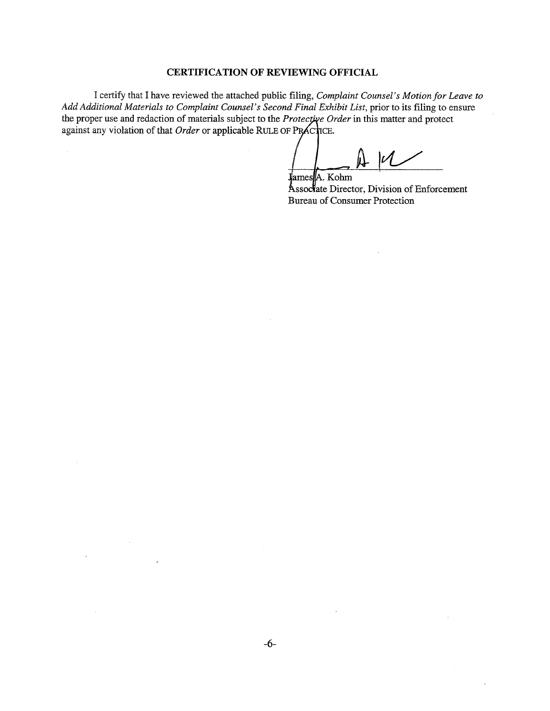### CERTIFICA TION OF REVIEWING OFFICIAL

I certify that I have reviewed the attached public fiing, Complaint Counsel's Motion for Leave to Add Additional Materials to Complaint Counsel's Second Final Exhibit List, prior to its filing to ensure the proper use and redaction of materials subject to the Protective Order in this matter and protect. against any violation of that Order or applicable RULE OF PRACTICE.

 $\bar{\beta}$ 

 $\mathcal{A}^{\pm}$ 

 $\sim$ 

 $\mathcal{U}$  $J$ ames | A. Kohm

**Ássociate Director, Division of Enforcement** Bureau of Consumer Protection